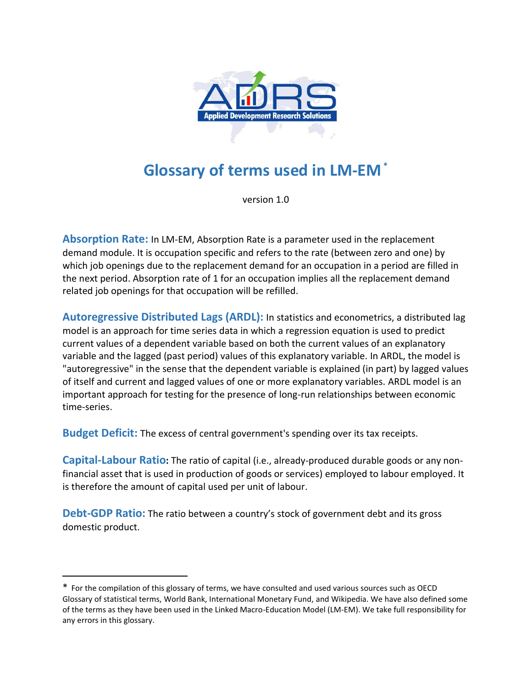

## **Glossary of terms used in LM <sup>1</sup> -EM\***

version 1.0

**Absorption Rate:** In LM-EM, Absorption Rate is a parameter used in the replacement demand module. It is occupation specific and refers to the rate (between zero and one) by which job openings due to the replacement demand for an occupation in a period are filled in the next period. Absorption rate of 1 for an occupation implies all the replacement demand related job openings for that occupation will be refilled.

**Autoregressive Distributed Lags (ARDL):** In statistics and econometrics, a distributed lag model is an approach for time series data in which a regression equation is used to predict current values of a dependent variable based on both the current values of an explanatory variable and the lagged (past period) values of this explanatory variable. In ARDL, the model is "autoregressive" in the sense that the dependent variable is explained (in part) by lagged values of itself and current and lagged values of one or more explanatory variables. ARDL model is an important approach for testing for the presence of long-run relationships between economic time-series.

**Budget Deficit:** The excess of central government's spending over its tax receipts.

**Capital-Labour Ratio:** The ratio of capital (i.e., already-produced durable goods or any nonfinancial asset that is used in production of goods or services) employed to labour employed. It is therefore the amount of capital used per unit of labour.

**Debt-GDP Ratio:** The ratio between a country's stock of government debt and its gross domestic product.

 $\overline{a}$ 

<sup>\*</sup> 1 For the compilation of this glossary of terms, we have consulted and used various sources such as OECD Glossary of statistical terms, World Bank, International Monetary Fund, and Wikipedia. We have also defined some of the terms as they have been used in the Linked Macro-Education Model (LM-EM). We take full responsibility for any errors in this glossary.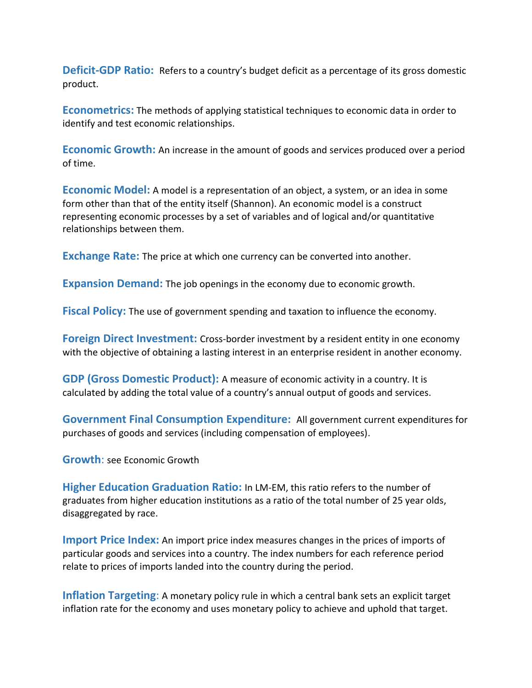**Deficit-GDP Ratio:** Refers to a country's budget deficit as a percentage of its gross domestic product.

**Econometrics:** The methods of applying statistical techniques to economic data in order to identify and test economic relationships.

**Economic Growth:** An increase in the amount of goods and services produced over a period of time.

**Economic Model:** A model is a representation of an object, a system, or an idea in some form other than that of the entity itself (Shannon). An economic model is a construct representing economic processes by a set of variables and of logical and/or quantitative relationships between them.

**Exchange Rate:** The price at which one currency can be converted into another.

**Expansion Demand:** The job openings in the economy due to economic growth.

**Fiscal Policy:** The use of government spending and taxation to influence the economy.

**Foreign Direct Investment:** Cross-border investment by a resident entity in one economy with the objective of obtaining a lasting interest in an enterprise resident in another economy.

**GDP (Gross Domestic Product):** A measure of economic activity in a country. It is calculated by adding the total value of a country's annual output of goods and services.

**Government Final Consumption Expenditure:** All government current expenditures for purchases of goods and services (including compensation of employees).

**Growth**: see Economic Growth

**Higher Education Graduation Ratio:** In LM-EM, this ratio refers to the number of graduates from higher education institutions as a ratio of the total number of 25 year olds, disaggregated by race.

**Import Price Index:** An import price index measures changes in the prices of imports of particular goods and services into a country. The index numbers for each reference period relate to prices of imports landed into the country during the period.

**Inflation Targeting**: A monetary policy rule in which a central bank sets an explicit target inflation rate for the economy and uses monetary policy to achieve and uphold that target.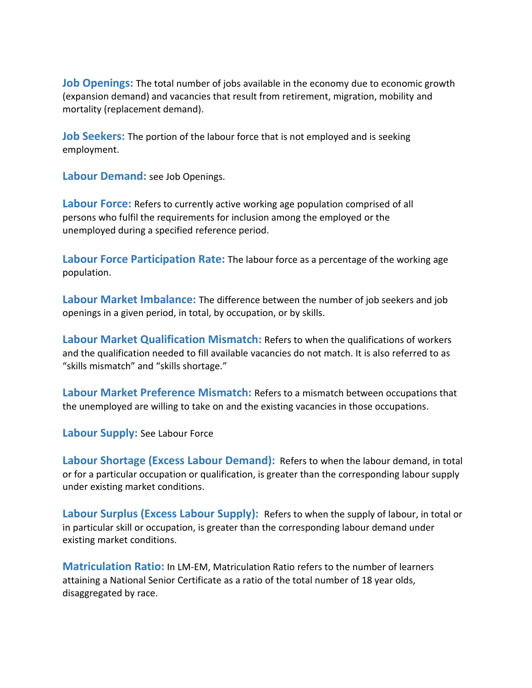**Job Openings:** The total number of jobs available in the economy due to economic growth (expansion demand) and vacancies that result from retirement, migration, mobility and mortality (replacement demand).

**Job Seekers:** The portion of the labour force that is not employed and is seeking employment.

**Labour Demand:** see Job Openings.

**Labour Force:** Refers to currently active working age population comprised of all persons who fulfil the requirements for inclusion among the employed or the unemployed during a specified reference period.

**Labour Force Participation Rate:** The labour force as a percentage of the working age population.

**Labour Market Imbalance:** The difference between the number of job seekers and job openings in a given period, in total, by occupation, or by skills.

**Labour Market Qualification Mismatch:** Refers to when the qualifications of workers and the qualification needed to fill available vacancies do not match. It is also referred to as "skills mismatch" and "skills shortage."

**Labour Market Preference Mismatch:** Refers to a mismatch between occupations that the unemployed are willing to take on and the existing vacancies in those occupations.

**Labour Supply:** See Labour Force

**Labour Shortage (Excess Labour Demand):** Refers to when the labour demand, in total or for a particular occupation or qualification, is greater than the corresponding labour supply under existing market conditions.

**Labour Surplus (Excess Labour Supply):** Refers to when the supply of labour, in total or in particular skill or occupation, is greater than the corresponding labour demand under existing market conditions.

**Matriculation Ratio:** In LM-EM, Matriculation Ratio refers to the number of learners attaining a National Senior Certificate as a ratio of the total number of 18 year olds, disaggregated by race.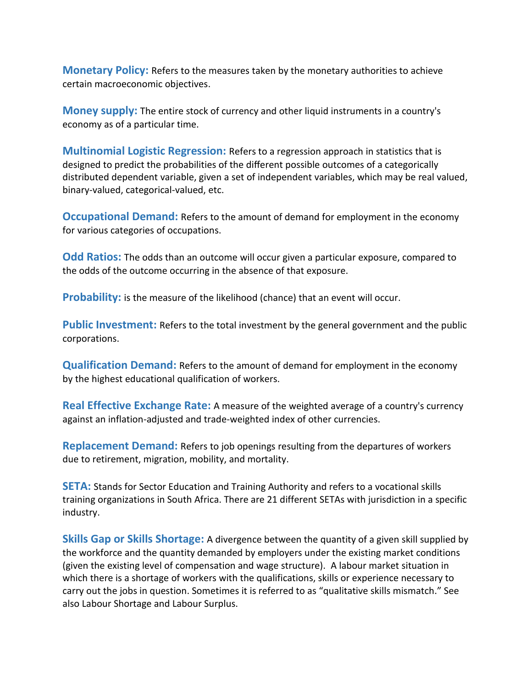**Monetary Policy:** Refers to the measures taken by the monetary authorities to achieve certain macroeconomic objectives.

**Money supply:** The entire stock of currency and other liquid instruments in a country's economy as of a particular time.

**Multinomial Logistic Regression:** Refers to a regression approach in statistics that is designed to predict the probabilities of the different possible outcomes of a categorically distributed dependent variable, given a set of independent variables, which may be real valued, binary-valued, categorical-valued, etc.

**Occupational Demand:** Refers to the amount of demand for employment in the economy for various categories of occupations.

**Odd Ratios:** The odds than an outcome will occur given a particular exposure, compared to the odds of the outcome occurring in the absence of that exposure.

**Probability:** is the measure of the likelihood (chance) that an event will occur.

**Public Investment:** Refers to the total investment by the general government and the public corporations.

**Qualification Demand:** Refers to the amount of demand for employment in the economy by the highest educational qualification of workers.

**Real Effective Exchange Rate:** A measure of the weighted average of a country's currency against an inflation-adjusted and trade-weighted index of other currencies.

**Replacement Demand:** Refers to job openings resulting from the departures of workers due to retirement, migration, mobility, and mortality.

**SETA:** Stands for Sector Education and Training Authority and refers to a vocational skills training organizations in South Africa. There are 21 different SETAs with jurisdiction in a specific industry.

**Skills Gap or Skills Shortage:** A divergence between the quantity of a given skill supplied by the workforce and the quantity demanded by employers under the existing market conditions (given the existing level of compensation and wage structure). A labour market situation in which there is a shortage of workers with the qualifications, skills or experience necessary to carry out the jobs in question. Sometimes it is referred to as "qualitative skills mismatch." See also Labour Shortage and Labour Surplus.